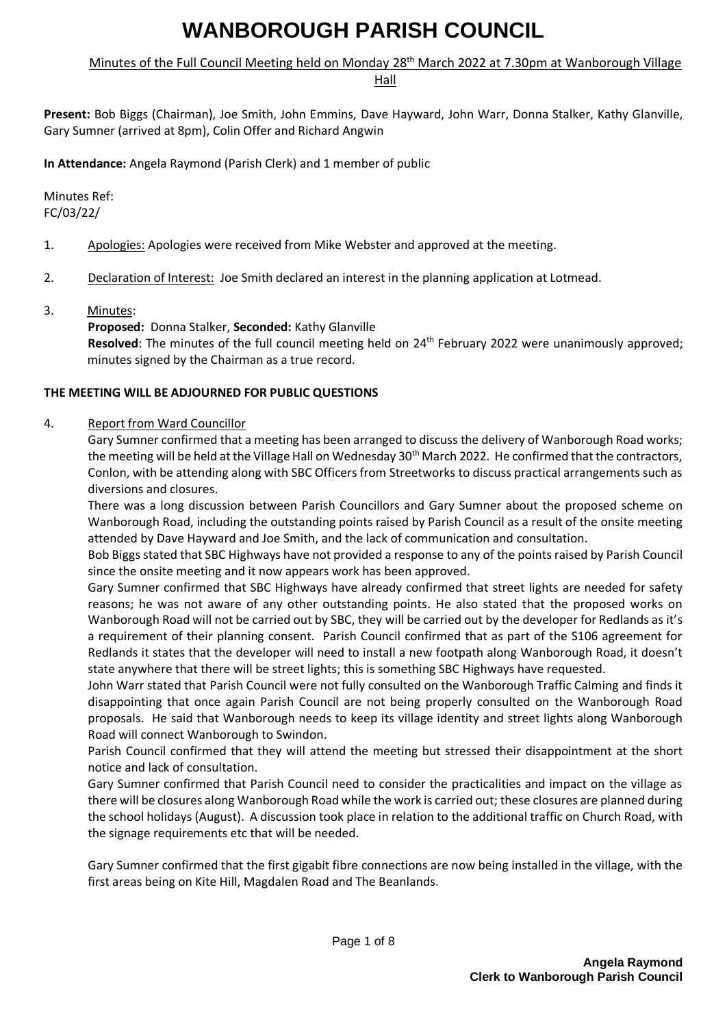# Minutes of the Full Council Meeting held on Monday 28<sup>th</sup> March 2022 at 7.30pm at Wanborough Village

Hall

**Present:** Bob Biggs (Chairman), Joe Smith, John Emmins, Dave Hayward, John Warr, Donna Stalker, Kathy Glanville, Gary Sumner (arrived at 8pm), Colin Offer and Richard Angwin

**In Attendance:** Angela Raymond (Parish Clerk) and 1 member of public

Minutes Ref: FC/03/22/

- 1. Apologies: Apologies were received from Mike Webster and approved at the meeting.
- 2. Declaration of Interest: Joe Smith declared an interest in the planning application at Lotmead.
- 3. Minutes:

### **Proposed:** Donna Stalker, **Seconded:** Kathy Glanville

Resolved: The minutes of the full council meeting held on 24<sup>th</sup> February 2022 were unanimously approved; minutes signed by the Chairman as a true record.

### **THE MEETING WILL BE ADJOURNED FOR PUBLIC QUESTIONS**

#### 4. Report from Ward Councillor

Gary Sumner confirmed that a meeting has been arranged to discuss the delivery of Wanborough Road works; the meeting will be held at the Village Hall on Wednesday 30th March 2022. He confirmed that the contractors, Conlon, with be attending along with SBC Officers from Streetworks to discuss practical arrangements such as diversions and closures.

There was a long discussion between Parish Councillors and Gary Sumner about the proposed scheme on Wanborough Road, including the outstanding points raised by Parish Council as a result of the onsite meeting attended by Dave Hayward and Joe Smith, and the lack of communication and consultation.

Bob Biggs stated that SBC Highways have not provided a response to any of the points raised by Parish Council since the onsite meeting and it now appears work has been approved.

Gary Sumner confirmed that SBC Highways have already confirmed that street lights are needed for safety reasons; he was not aware of any other outstanding points. He also stated that the proposed works on Wanborough Road will not be carried out by SBC, they will be carried out by the developer for Redlands as it's a requirement of their planning consent. Parish Council confirmed that as part of the S106 agreement for Redlands it states that the developer will need to install a new footpath along Wanborough Road, it doesn't state anywhere that there will be street lights; this is something SBC Highways have requested.

John Warr stated that Parish Council were not fully consulted on the Wanborough Traffic Calming and finds it disappointing that once again Parish Council are not being properly consulted on the Wanborough Road proposals. He said that Wanborough needs to keep its village identity and street lights along Wanborough Road will connect Wanborough to Swindon.

Parish Council confirmed that they will attend the meeting but stressed their disappointment at the short notice and lack of consultation.

Gary Sumner confirmed that Parish Council need to consider the practicalities and impact on the village as there will be closures along Wanborough Road while the work is carried out; these closures are planned during the school holidays (August). A discussion took place in relation to the additional traffic on Church Road, with the signage requirements etc that will be needed.

Gary Sumner confirmed that the first gigabit fibre connections are now being installed in the village, with the first areas being on Kite Hill, Magdalen Road and The Beanlands.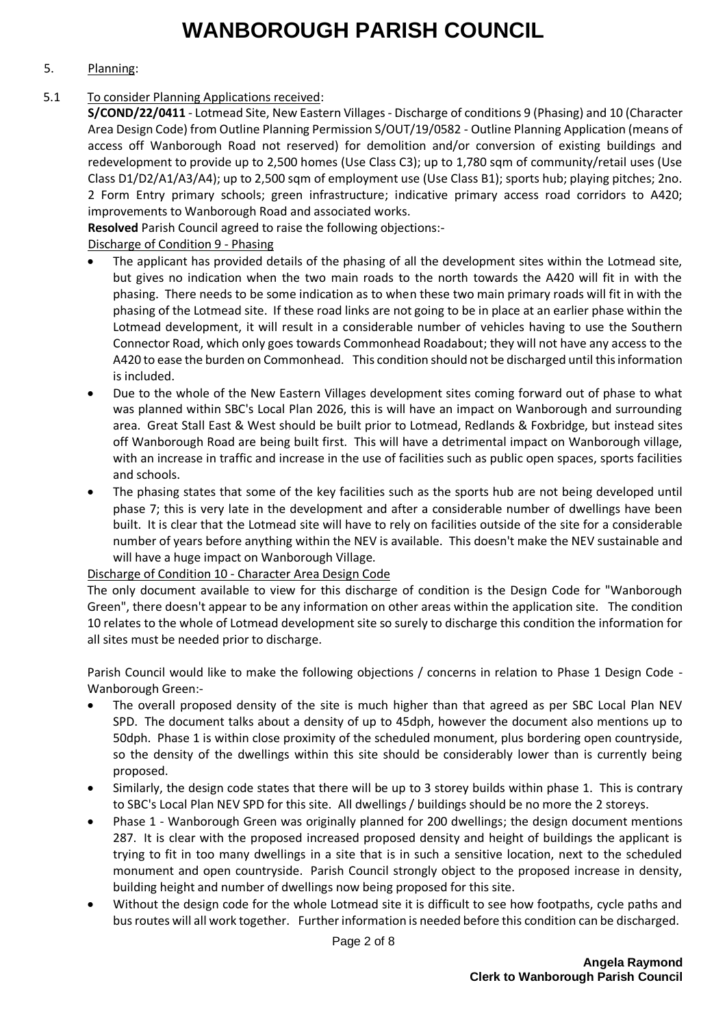## 5. Planning:

## 5.1 To consider Planning Applications received:

**S/COND/22/0411** - Lotmead Site, New Eastern Villages - Discharge of conditions 9 (Phasing) and 10 (Character Area Design Code) from Outline Planning Permission S/OUT/19/0582 - Outline Planning Application (means of access off Wanborough Road not reserved) for demolition and/or conversion of existing buildings and redevelopment to provide up to 2,500 homes (Use Class C3); up to 1,780 sqm of community/retail uses (Use Class D1/D2/A1/A3/A4); up to 2,500 sqm of employment use (Use Class B1); sports hub; playing pitches; 2no. 2 Form Entry primary schools; green infrastructure; indicative primary access road corridors to A420; improvements to Wanborough Road and associated works.

**Resolved** Parish Council agreed to raise the following objections:-

Discharge of Condition 9 - Phasing

- The applicant has provided details of the phasing of all the development sites within the Lotmead site, but gives no indication when the two main roads to the north towards the A420 will fit in with the phasing. There needs to be some indication as to when these two main primary roads will fit in with the phasing of the Lotmead site. If these road links are not going to be in place at an earlier phase within the Lotmead development, it will result in a considerable number of vehicles having to use the Southern Connector Road, which only goes towards Commonhead Roadabout; they will not have any access to the A420 to ease the burden on Commonhead. This condition should not be discharged until this information is included.
- Due to the whole of the New Eastern Villages development sites coming forward out of phase to what was planned within SBC's Local Plan 2026, this is will have an impact on Wanborough and surrounding area. Great Stall East & West should be built prior to Lotmead, Redlands & Foxbridge, but instead sites off Wanborough Road are being built first. This will have a detrimental impact on Wanborough village, with an increase in traffic and increase in the use of facilities such as public open spaces, sports facilities and schools.
- The phasing states that some of the key facilities such as the sports hub are not being developed until phase 7; this is very late in the development and after a considerable number of dwellings have been built. It is clear that the Lotmead site will have to rely on facilities outside of the site for a considerable number of years before anything within the NEV is available. This doesn't make the NEV sustainable and will have a huge impact on Wanborough Village.

### Discharge of Condition 10 - Character Area Design Code

The only document available to view for this discharge of condition is the Design Code for "Wanborough Green", there doesn't appear to be any information on other areas within the application site. The condition 10 relates to the whole of Lotmead development site so surely to discharge this condition the information for all sites must be needed prior to discharge.

Parish Council would like to make the following objections / concerns in relation to Phase 1 Design Code - Wanborough Green:-

- The overall proposed density of the site is much higher than that agreed as per SBC Local Plan NEV SPD. The document talks about a density of up to 45dph, however the document also mentions up to 50dph. Phase 1 is within close proximity of the scheduled monument, plus bordering open countryside, so the density of the dwellings within this site should be considerably lower than is currently being proposed.
- Similarly, the design code states that there will be up to 3 storey builds within phase 1. This is contrary to SBC's Local Plan NEV SPD for this site. All dwellings / buildings should be no more the 2 storeys.
- Phase 1 Wanborough Green was originally planned for 200 dwellings; the design document mentions 287. It is clear with the proposed increased proposed density and height of buildings the applicant is trying to fit in too many dwellings in a site that is in such a sensitive location, next to the scheduled monument and open countryside. Parish Council strongly object to the proposed increase in density, building height and number of dwellings now being proposed for this site.
- Without the design code for the whole Lotmead site it is difficult to see how footpaths, cycle paths and bus routes will all work together. Further information is needed before this condition can be discharged.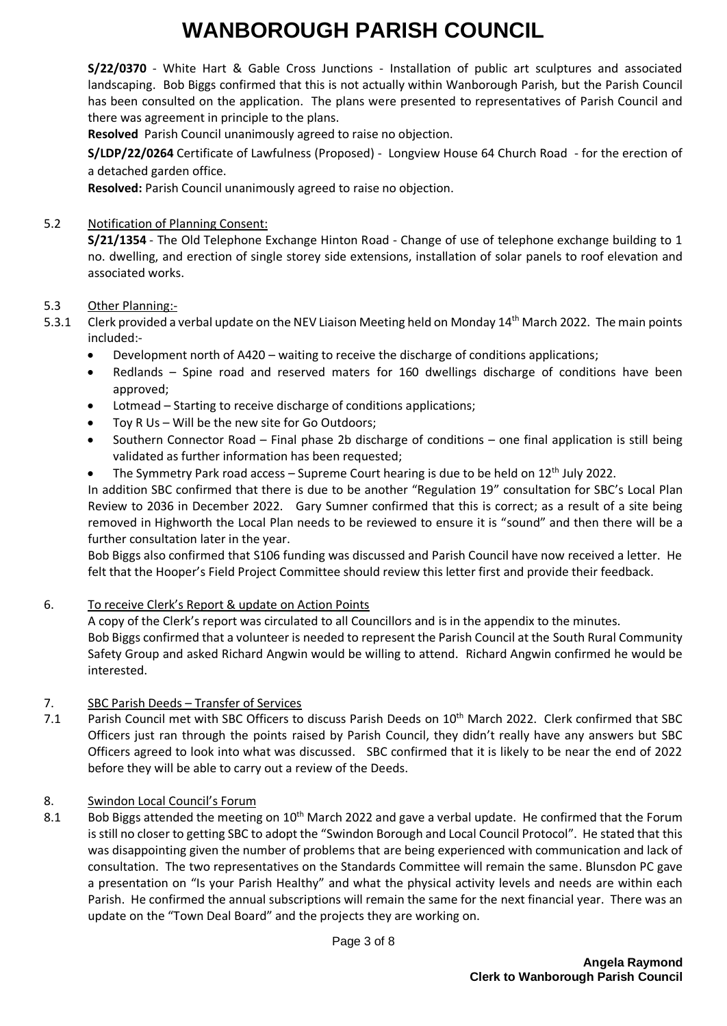**S/22/0370** - White Hart & Gable Cross Junctions - Installation of public art sculptures and associated landscaping. Bob Biggs confirmed that this is not actually within Wanborough Parish, but the Parish Council has been consulted on the application. The plans were presented to representatives of Parish Council and there was agreement in principle to the plans.

**Resolved** Parish Council unanimously agreed to raise no objection.

**S/LDP/22/0264** Certificate of Lawfulness (Proposed) - Longview House 64 Church Road - for the erection of a detached garden office.

**Resolved:** Parish Council unanimously agreed to raise no objection.

## 5.2 Notification of Planning Consent:

**S/21/1354** - The Old Telephone Exchange Hinton Road - Change of use of telephone exchange building to 1 no. dwelling, and erection of single storey side extensions, installation of solar panels to roof elevation and associated works.

### 5.3 Other Planning:-

- 5.3.1 Clerk provided a verbal update on the NEV Liaison Meeting held on Monday 14<sup>th</sup> March 2022. The main points included:-
	- Development north of A420 waiting to receive the discharge of conditions applications;
	- Redlands Spine road and reserved maters for 160 dwellings discharge of conditions have been approved;
	- Lotmead Starting to receive discharge of conditions applications;
	- Toy R Us Will be the new site for Go Outdoors;
	- Southern Connector Road Final phase 2b discharge of conditions one final application is still being validated as further information has been requested;
	- The Symmetry Park road access Supreme Court hearing is due to be held on  $12<sup>th</sup>$  July 2022.

In addition SBC confirmed that there is due to be another "Regulation 19" consultation for SBC's Local Plan Review to 2036 in December 2022. Gary Sumner confirmed that this is correct; as a result of a site being removed in Highworth the Local Plan needs to be reviewed to ensure it is "sound" and then there will be a further consultation later in the year.

Bob Biggs also confirmed that S106 funding was discussed and Parish Council have now received a letter. He felt that the Hooper's Field Project Committee should review this letter first and provide their feedback.

### 6. To receive Clerk's Report & update on Action Points

A copy of the Clerk's report was circulated to all Councillors and is in the appendix to the minutes. Bob Biggs confirmed that a volunteer is needed to represent the Parish Council at the South Rural Community Safety Group and asked Richard Angwin would be willing to attend. Richard Angwin confirmed he would be interested.

### 7. SBC Parish Deeds – Transfer of Services

7.1 Parish Council met with SBC Officers to discuss Parish Deeds on 10<sup>th</sup> March 2022. Clerk confirmed that SBC Officers just ran through the points raised by Parish Council, they didn't really have any answers but SBC Officers agreed to look into what was discussed. SBC confirmed that it is likely to be near the end of 2022 before they will be able to carry out a review of the Deeds.

### 8. Swindon Local Council's Forum

8.1 Bob Biggs attended the meeting on 10<sup>th</sup> March 2022 and gave a verbal update. He confirmed that the Forum is still no closer to getting SBC to adopt the "Swindon Borough and Local Council Protocol". He stated that this was disappointing given the number of problems that are being experienced with communication and lack of consultation. The two representatives on the Standards Committee will remain the same. Blunsdon PC gave a presentation on "Is your Parish Healthy" and what the physical activity levels and needs are within each Parish. He confirmed the annual subscriptions will remain the same for the next financial year. There was an update on the "Town Deal Board" and the projects they are working on.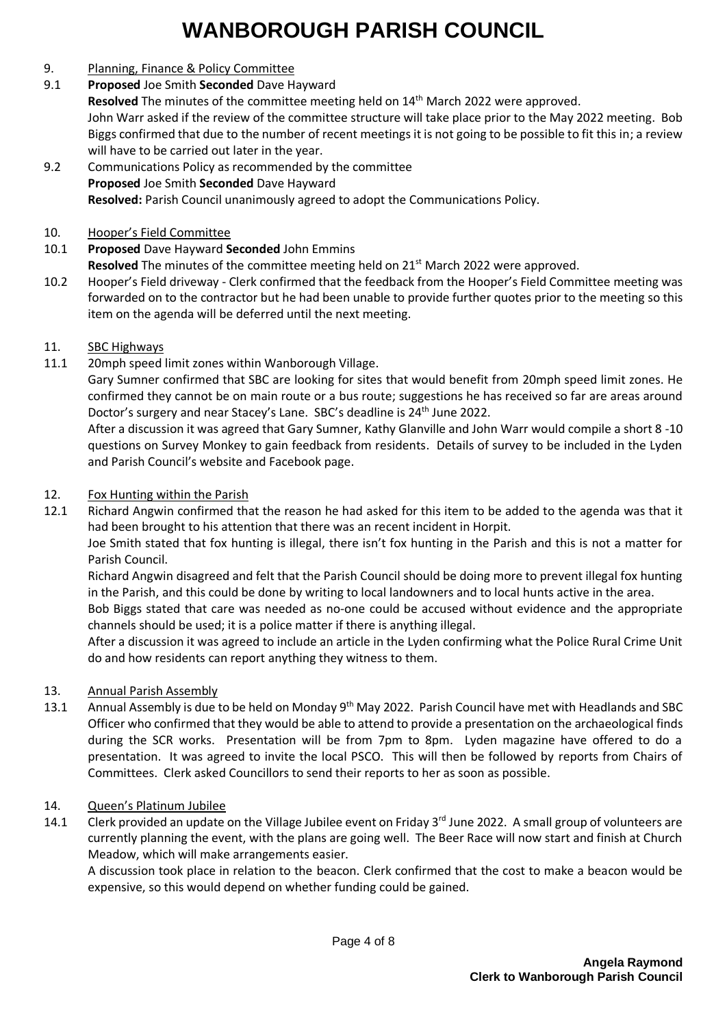## 9. Planning, Finance & Policy Committee

9.1 **Proposed** Joe Smith **Seconded** Dave Hayward

**Resolved** The minutes of the committee meeting held on 14th March 2022 were approved. John Warr asked if the review of the committee structure will take place prior to the May 2022 meeting. Bob Biggs confirmed that due to the number of recent meetings it is not going to be possible to fit this in; a review will have to be carried out later in the year.

- 9.2 Communications Policy as recommended by the committee **Proposed** Joe Smith **Seconded** Dave Hayward **Resolved:** Parish Council unanimously agreed to adopt the Communications Policy.
- 10. Hooper's Field Committee
- 10.1 **Proposed** Dave Hayward **Seconded** John Emmins

**Resolved** The minutes of the committee meeting held on 21<sup>st</sup> March 2022 were approved.

10.2 Hooper's Field driveway - Clerk confirmed that the feedback from the Hooper's Field Committee meeting was forwarded on to the contractor but he had been unable to provide further quotes prior to the meeting so this item on the agenda will be deferred until the next meeting.

## 11. SBC Highways

11.1 20mph speed limit zones within Wanborough Village.

Gary Sumner confirmed that SBC are looking for sites that would benefit from 20mph speed limit zones. He confirmed they cannot be on main route or a bus route; suggestions he has received so far are areas around Doctor's surgery and near Stacey's Lane. SBC's deadline is 24<sup>th</sup> June 2022.

After a discussion it was agreed that Gary Sumner, Kathy Glanville and John Warr would compile a short 8 -10 questions on Survey Monkey to gain feedback from residents. Details of survey to be included in the Lyden and Parish Council's website and Facebook page.

## 12. Fox Hunting within the Parish

12.1 Richard Angwin confirmed that the reason he had asked for this item to be added to the agenda was that it had been brought to his attention that there was an recent incident in Horpit.

Joe Smith stated that fox hunting is illegal, there isn't fox hunting in the Parish and this is not a matter for Parish Council.

Richard Angwin disagreed and felt that the Parish Council should be doing more to prevent illegal fox hunting in the Parish, and this could be done by writing to local landowners and to local hunts active in the area.

Bob Biggs stated that care was needed as no-one could be accused without evidence and the appropriate channels should be used; it is a police matter if there is anything illegal.

After a discussion it was agreed to include an article in the Lyden confirming what the Police Rural Crime Unit do and how residents can report anything they witness to them.

### 13. Annual Parish Assembly

13.1 Annual Assembly is due to be held on Monday 9th May 2022. Parish Council have met with Headlands and SBC Officer who confirmed that they would be able to attend to provide a presentation on the archaeological finds during the SCR works. Presentation will be from 7pm to 8pm. Lyden magazine have offered to do a presentation. It was agreed to invite the local PSCO. This will then be followed by reports from Chairs of Committees. Clerk asked Councillors to send their reports to her as soon as possible.

### 14. Queen's Platinum Jubilee

14.1 Clerk provided an update on the Village Jubilee event on Friday 3<sup>rd</sup> June 2022. A small group of volunteers are currently planning the event, with the plans are going well. The Beer Race will now start and finish at Church Meadow, which will make arrangements easier.

A discussion took place in relation to the beacon. Clerk confirmed that the cost to make a beacon would be expensive, so this would depend on whether funding could be gained.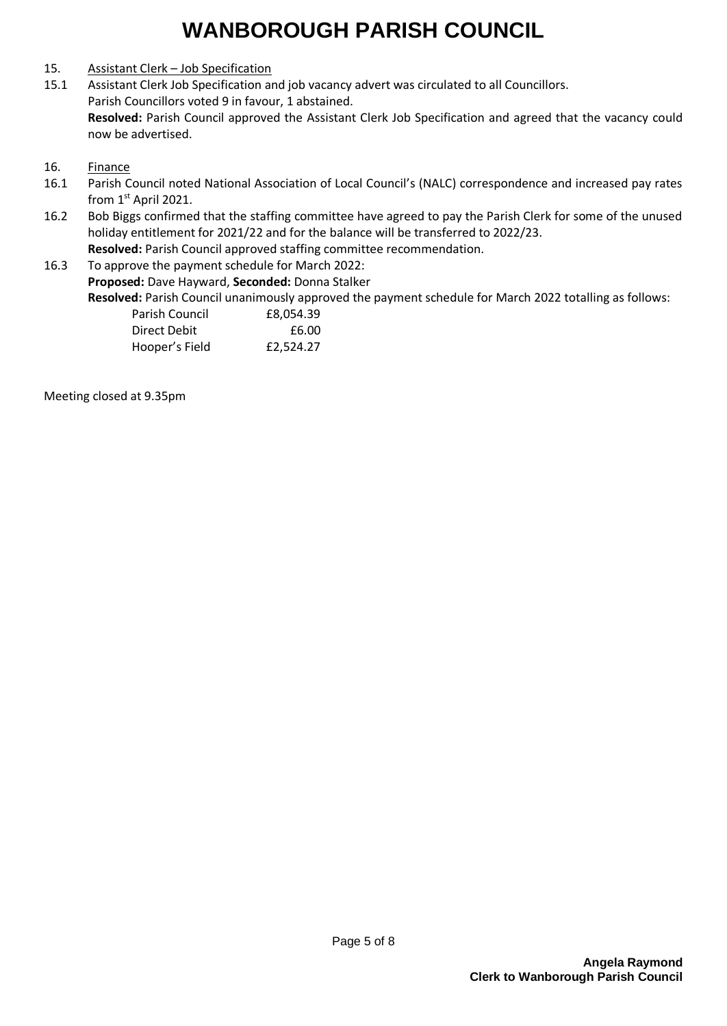# 15. Assistant Clerk – Job Specification

15.1 Assistant Clerk Job Specification and job vacancy advert was circulated to all Councillors. Parish Councillors voted 9 in favour, 1 abstained. **Resolved:** Parish Council approved the Assistant Clerk Job Specification and agreed that the vacancy could now be advertised.

#### 16. Finance

- 16.1 Parish Council noted National Association of Local Council's (NALC) correspondence and increased pay rates from 1<sup>st</sup> April 2021.
- 16.2 Bob Biggs confirmed that the staffing committee have agreed to pay the Parish Clerk for some of the unused holiday entitlement for 2021/22 and for the balance will be transferred to 2022/23. **Resolved:** Parish Council approved staffing committee recommendation.
- 16.3 To approve the payment schedule for March 2022: **Proposed:** Dave Hayward, **Seconded:** Donna Stalker

**Resolved:** Parish Council unanimously approved the payment schedule for March 2022 totalling as follows:

| Parish Council | £8.054.39 |
|----------------|-----------|
| Direct Debit   | £6.00     |
| Hooper's Field | £2,524.27 |

Meeting closed at 9.35pm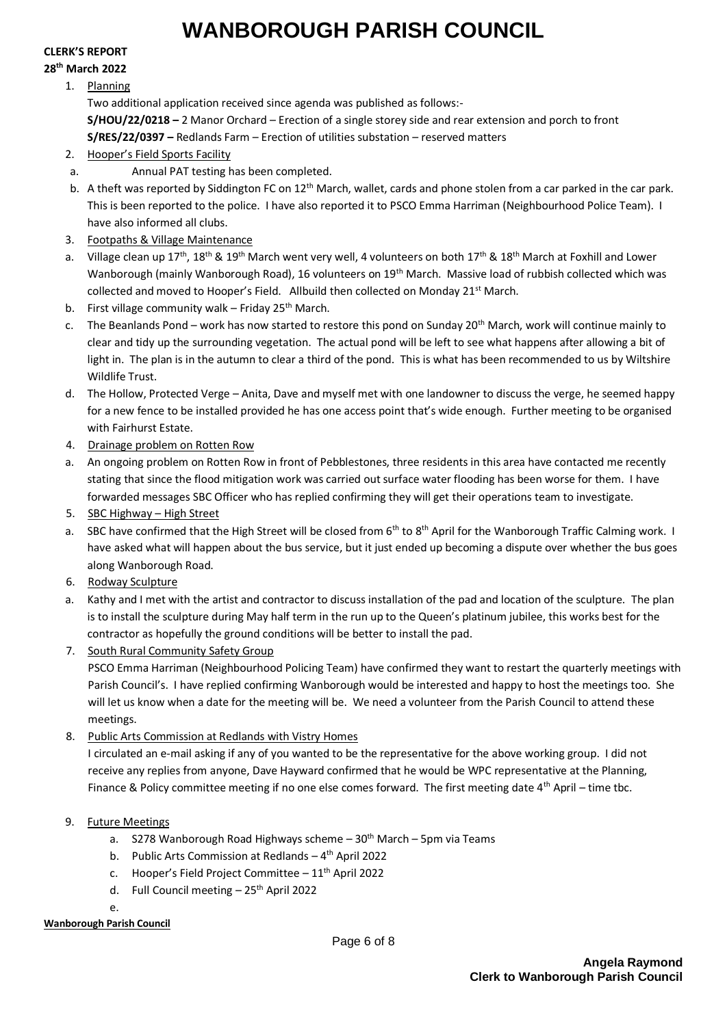# **CLERK'S REPORT**

# **28th March 2022**

1. Planning

Two additional application received since agenda was published as follows:- **S/HOU/22/0218 –** 2 Manor Orchard – Erection of a single storey side and rear extension and porch to front **S/RES/22/0397 –** Redlands Farm – Erection of utilities substation – reserved matters

- 2. Hooper's Field Sports Facility
- a. Annual PAT testing has been completed.
- b. A theft was reported by Siddington FC on  $12<sup>th</sup>$  March, wallet, cards and phone stolen from a car parked in the car park. This is been reported to the police. I have also reported it to PSCO Emma Harriman (Neighbourhood Police Team). I have also informed all clubs.
- 3. Footpaths & Village Maintenance
- a. Village clean up 17<sup>th</sup>, 18<sup>th</sup> & 19<sup>th</sup> March went very well, 4 volunteers on both 17<sup>th</sup> & 18<sup>th</sup> March at Foxhill and Lower Wanborough (mainly Wanborough Road), 16 volunteers on 19th March. Massive load of rubbish collected which was collected and moved to Hooper's Field. Allbuild then collected on Monday 21 $\mathrm{^{st}}$  March.
- b. First village community walk Friday 25<sup>th</sup> March.
- c. The Beanlands Pond work has now started to restore this pond on Sunday 20<sup>th</sup> March, work will continue mainly to clear and tidy up the surrounding vegetation. The actual pond will be left to see what happens after allowing a bit of light in. The plan is in the autumn to clear a third of the pond. This is what has been recommended to us by Wiltshire Wildlife Trust.
- d. The Hollow, Protected Verge Anita, Dave and myself met with one landowner to discuss the verge, he seemed happy for a new fence to be installed provided he has one access point that's wide enough. Further meeting to be organised with Fairhurst Estate.
- 4. Drainage problem on Rotten Row
- a. An ongoing problem on Rotten Row in front of Pebblestones, three residents in this area have contacted me recently stating that since the flood mitigation work was carried out surface water flooding has been worse for them. I have forwarded messages SBC Officer who has replied confirming they will get their operations team to investigate.
- 5. SBC Highway High Street
- a. SBC have confirmed that the High Street will be closed from  $6^{th}$  to  $8^{th}$  April for the Wanborough Traffic Calming work. I have asked what will happen about the bus service, but it just ended up becoming a dispute over whether the bus goes along Wanborough Road.
- 6. Rodway Sculpture
- a. Kathy and I met with the artist and contractor to discuss installation of the pad and location of the sculpture. The plan is to install the sculpture during May half term in the run up to the Queen's platinum jubilee, this works best for the contractor as hopefully the ground conditions will be better to install the pad.
- 7. South Rural Community Safety Group

PSCO Emma Harriman (Neighbourhood Policing Team) have confirmed they want to restart the quarterly meetings with Parish Council's. I have replied confirming Wanborough would be interested and happy to host the meetings too. She will let us know when a date for the meeting will be. We need a volunteer from the Parish Council to attend these meetings.

8. Public Arts Commission at Redlands with Vistry Homes

I circulated an e-mail asking if any of you wanted to be the representative for the above working group. I did not receive any replies from anyone, Dave Hayward confirmed that he would be WPC representative at the Planning, Finance & Policy committee meeting if no one else comes forward. The first meeting date  $4<sup>th</sup>$  April – time tbc.

- 9. Future Meetings
	- a. S278 Wanborough Road Highways scheme  $-30<sup>th</sup>$  March  $-5$ pm via Teams
	- b. Public Arts Commission at Redlands 4<sup>th</sup> April 2022
	- c. Hooper's Field Project Committee  $-11<sup>th</sup>$  April 2022
	- d. Full Council meeting 25<sup>th</sup> April 2022

e.

### **Wanborough Parish Council**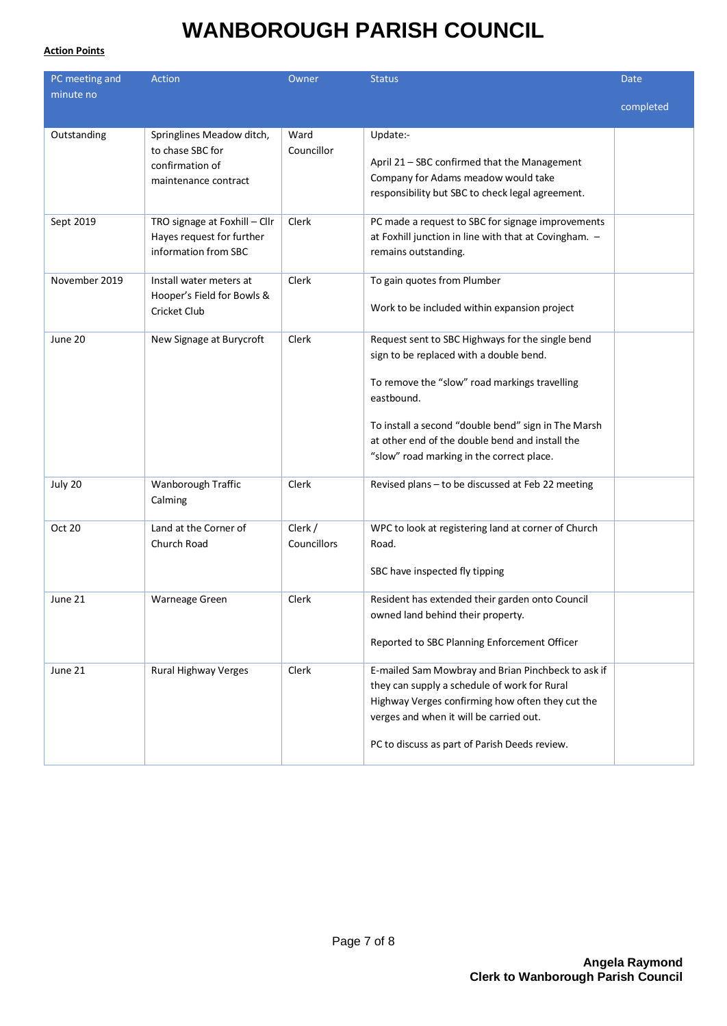#### **Action Points**

| PC meeting and | <b>Action</b>                                                                            | Owner                  | <b>Status</b>                                                                                                                                                                                                                                                                                                     | Date      |
|----------------|------------------------------------------------------------------------------------------|------------------------|-------------------------------------------------------------------------------------------------------------------------------------------------------------------------------------------------------------------------------------------------------------------------------------------------------------------|-----------|
| minute no      |                                                                                          |                        |                                                                                                                                                                                                                                                                                                                   | completed |
| Outstanding    | Springlines Meadow ditch,<br>to chase SBC for<br>confirmation of<br>maintenance contract | Ward<br>Councillor     | Update:-<br>April 21 - SBC confirmed that the Management<br>Company for Adams meadow would take<br>responsibility but SBC to check legal agreement.                                                                                                                                                               |           |
| Sept 2019      | TRO signage at Foxhill - Cllr<br>Hayes request for further<br>information from SBC       | Clerk                  | PC made a request to SBC for signage improvements<br>at Foxhill junction in line with that at Covingham. -<br>remains outstanding.                                                                                                                                                                                |           |
| November 2019  | Install water meters at<br>Hooper's Field for Bowls &<br>Cricket Club                    | Clerk                  | To gain quotes from Plumber<br>Work to be included within expansion project                                                                                                                                                                                                                                       |           |
| June 20        | New Signage at Burycroft                                                                 | Clerk                  | Request sent to SBC Highways for the single bend<br>sign to be replaced with a double bend.<br>To remove the "slow" road markings travelling<br>eastbound.<br>To install a second "double bend" sign in The Marsh<br>at other end of the double bend and install the<br>"slow" road marking in the correct place. |           |
| July 20        | Wanborough Traffic<br>Calming                                                            | Clerk                  | Revised plans - to be discussed at Feb 22 meeting                                                                                                                                                                                                                                                                 |           |
| Oct 20         | Land at the Corner of<br>Church Road                                                     | Clerk /<br>Councillors | WPC to look at registering land at corner of Church<br>Road.<br>SBC have inspected fly tipping                                                                                                                                                                                                                    |           |
| June 21        | Warneage Green                                                                           | Clerk                  | Resident has extended their garden onto Council<br>owned land behind their property.<br>Reported to SBC Planning Enforcement Officer                                                                                                                                                                              |           |
| June 21        | Rural Highway Verges                                                                     | Clerk                  | E-mailed Sam Mowbray and Brian Pinchbeck to ask if<br>they can supply a schedule of work for Rural<br>Highway Verges confirming how often they cut the<br>verges and when it will be carried out.<br>PC to discuss as part of Parish Deeds review.                                                                |           |